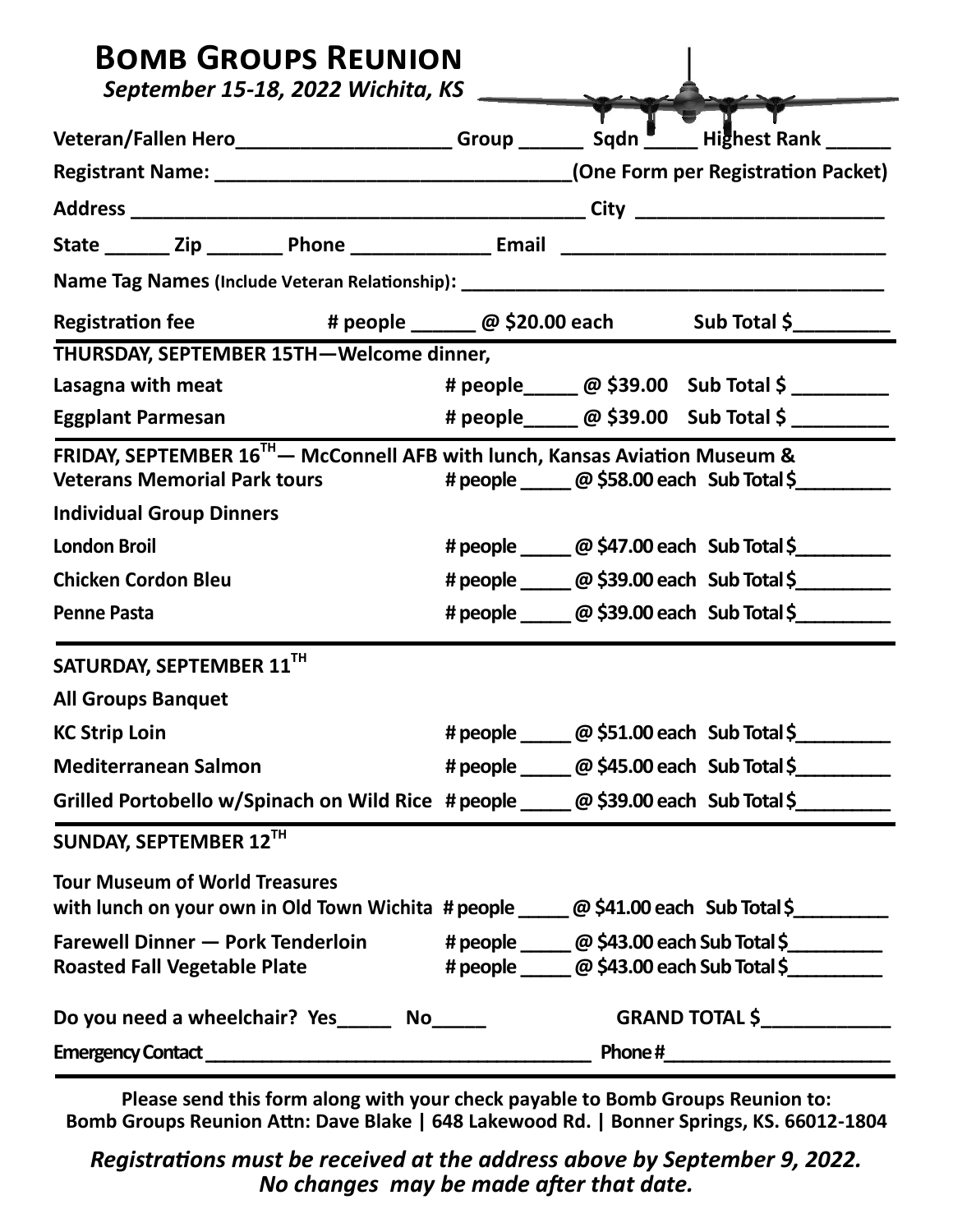| <b>BOMB GROUPS REUNION</b><br>September 15-18, 2022 Wichita, KS                                                                |  |                                                                                                                    |
|--------------------------------------------------------------------------------------------------------------------------------|--|--------------------------------------------------------------------------------------------------------------------|
| Veteran/Fallen Hero______________________Group ________ Sqdn U______Highest Rank ______                                        |  |                                                                                                                    |
|                                                                                                                                |  |                                                                                                                    |
|                                                                                                                                |  |                                                                                                                    |
|                                                                                                                                |  |                                                                                                                    |
|                                                                                                                                |  |                                                                                                                    |
| Registration fee # people _____ @ \$20.00 each Sub Total \$________                                                            |  |                                                                                                                    |
| THURSDAY, SEPTEMBER 15TH-Welcome dinner,                                                                                       |  |                                                                                                                    |
| Lasagna with meat                                                                                                              |  | # people______ @ \$39.00 Sub Total \$                                                                              |
| <b>Eggplant Parmesan</b>                                                                                                       |  | # people______ @ \$39.00 Sub Total \$ ________                                                                     |
| FRIDAY, SEPTEMBER 16 <sup>TH</sup> - McConnell AFB with lunch, Kansas Aviation Museum &<br><b>Veterans Memorial Park tours</b> |  | # people ______ @ \$58.00 each Sub Total \$                                                                        |
| <b>Individual Group Dinners</b>                                                                                                |  |                                                                                                                    |
| <b>London Broil</b>                                                                                                            |  | # people ______ @ \$47.00 each Sub Total \$                                                                        |
| <b>Chicken Cordon Bleu</b>                                                                                                     |  | # people ______ @ \$39.00 each Sub Total \$_________                                                               |
| <b>Penne Pasta</b>                                                                                                             |  | # people ______ @ \$39.00 each Sub Total \$                                                                        |
| SATURDAY, SEPTEMBER 11TH                                                                                                       |  |                                                                                                                    |
| <b>All Groups Banquet</b>                                                                                                      |  |                                                                                                                    |
| <b>KC Strip Loin</b>                                                                                                           |  | # people ______ @ \$51.00 each Sub Total \$                                                                        |
| <b>Mediterranean Salmon</b>                                                                                                    |  | # people ______ @ \$45.00 each Sub Total \$                                                                        |
| Grilled Portobello w/Spinach on Wild Rice #people _____ @ \$39.00 each Sub Total \$                                            |  |                                                                                                                    |
| SUNDAY, SEPTEMBER 12TH                                                                                                         |  |                                                                                                                    |
| <b>Tour Museum of World Treasures</b><br>with lunch on your own in Old Town Wichita # people _____ @ \$41.00 each Sub Total \$ |  |                                                                                                                    |
| <b>Farewell Dinner - Pork Tenderloin</b><br><b>Roasted Fall Vegetable Plate</b>                                                |  | # people ______ @ \$43.00 each Sub Total \$__________<br># people ________ @ \$43.00 each Sub Total \$____________ |
| Do you need a wheelchair? Yes_______ No______                                                                                  |  | <b>GRAND TOTAL \$_______________</b>                                                                               |
|                                                                                                                                |  |                                                                                                                    |

**Please send this form along with your check payable to Bomb Groups Reunion to: Bomb Groups Reunion Attn: Dave Blake | 648 Lakewood Rd. | Bonner Springs, KS. 66012-1804**

*Registrations must be received at the address above by September 9, 2022. No changes may be made after that date.*